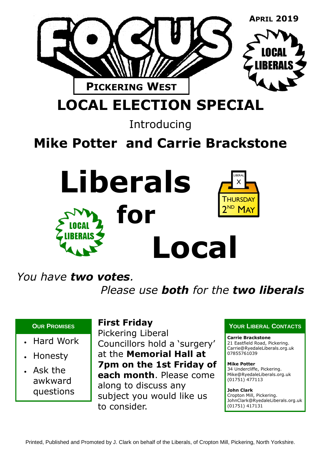

**LOCAL ELECTION SPECIAL**

Introducing

# **Mike Potter and Carrie Brackstone**



### *You have two votes.*

*Please use both for the two liberals*

- Hard Work
- Honesty
- Ask the awkward questions

### **First Friday**

Pickering Liberal Councillors hold a 'surgery' at the **Memorial Hall at 7pm on the 1st Friday of each month**. Please come along to discuss any subject you would like us to consider.

#### **OUR PROMISES PROMISES PROMISES**

#### **Carrie Brackstone** 21 Eastfield Road, Pickering.

Carrie@RyedaleLiberals.org.uk 07855761039

**Mike Potter** 34 Undercliffe, Pickering. Mike@RyedaleLiberals.org.uk (01751) 477113

**John Clark**

Cropton Mill, Pickering. JohnClark@RyedaleLiberals.org.uk (01751) 417131